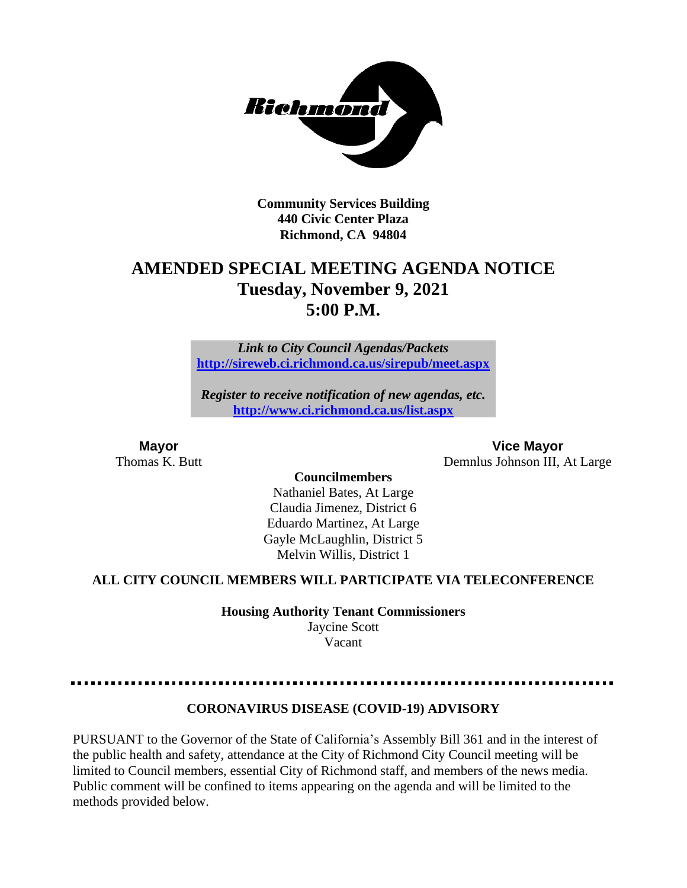

**Community Services Building 440 Civic Center Plaza Richmond, CA 94804**

# **AMENDED SPECIAL MEETING AGENDA NOTICE Tuesday, November 9, 2021 5:00 P.M.**

*Link to City Council Agendas/Packets* **<http://sireweb.ci.richmond.ca.us/sirepub/meet.aspx>**

*Register to receive notification of new agendas, etc.* **<http://www.ci.richmond.ca.us/list.aspx>**

**Mayor Vice Mayor** Thomas K. Butt Demnlus Johnson III, At Large

#### **Councilmembers**

Nathaniel Bates, At Large Claudia Jimenez, District 6 Eduardo Martinez, At Large Gayle McLaughlin, District 5 Melvin Willis, District 1

### **ALL CITY COUNCIL MEMBERS WILL PARTICIPATE VIA TELECONFERENCE**

**Housing Authority Tenant Commissioners** Jaycine Scott

Vacant

### **CORONAVIRUS DISEASE (COVID-19) ADVISORY**

PURSUANT to the Governor of the State of California's Assembly Bill 361 and in the interest of the public health and safety, attendance at the City of Richmond City Council meeting will be limited to Council members, essential City of Richmond staff, and members of the news media. Public comment will be confined to items appearing on the agenda and will be limited to the methods provided below.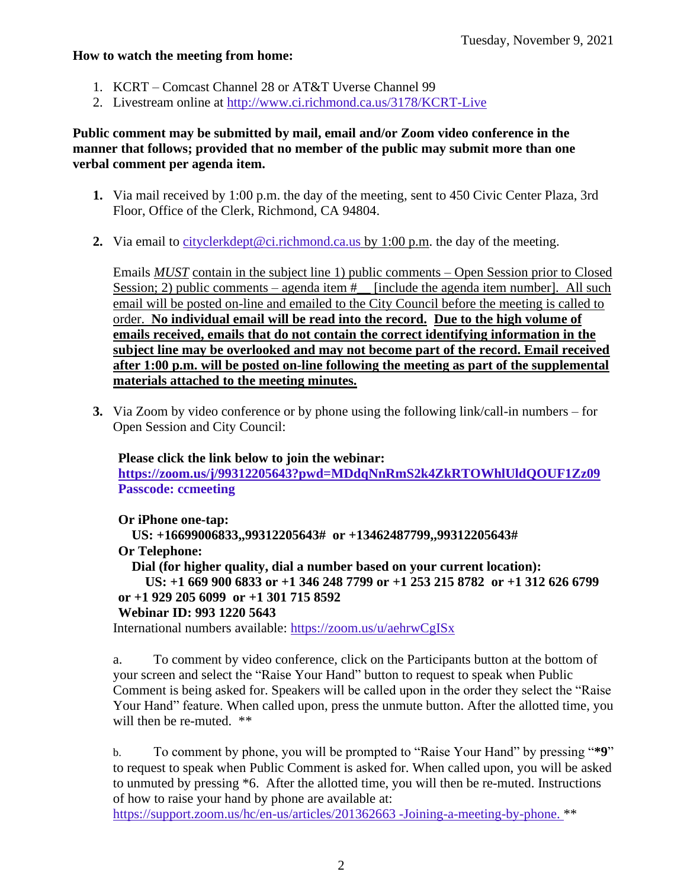#### **How to watch the meeting from home:**

- 1. KCRT Comcast Channel 28 or AT&T Uverse Channel 99
- 2. Livestream online at<http://www.ci.richmond.ca.us/3178/KCRT-Live>

### **Public comment may be submitted by mail, email and/or Zoom video conference in the manner that follows; provided that no member of the public may submit more than one verbal comment per agenda item.**

- **1.** Via mail received by 1:00 p.m. the day of the meeting, sent to 450 Civic Center Plaza, 3rd Floor, Office of the Clerk, Richmond, CA 94804.
- **2.** Via email to [cityclerkdept@ci.richmond.ca.us](mailto:cityclerkdept@ci.richmond.ca.us) by 1:00 p.m. the day of the meeting.

Emails *MUST* contain in the subject line 1) public comments – Open Session prior to Closed Session; 2) public comments – agenda item  $\#$  [include the agenda item number]. All such email will be posted on-line and emailed to the City Council before the meeting is called to order. **No individual email will be read into the record. Due to the high volume of emails received, emails that do not contain the correct identifying information in the subject line may be overlooked and may not become part of the record. Email received after 1:00 p.m. will be posted on-line following the meeting as part of the supplemental materials attached to the meeting minutes.**

**3.** Via Zoom by video conference or by phone using the following link/call-in numbers – for Open Session and City Council:

**Please click the link below to join the webinar: <https://zoom.us/j/99312205643?pwd=MDdqNnRmS2k4ZkRTOWhlUldQOUF1Zz09> Passcode: ccmeeting**

**Or iPhone one-tap:**

**US: +16699006833,,99312205643# or +13462487799,,99312205643#**

**Or Telephone:**

**Dial (for higher quality, dial a number based on your current location):**

**US: +1 669 900 6833 or +1 346 248 7799 or +1 253 215 8782 or +1 312 626 6799 or +1 929 205 6099 or +1 301 715 8592**

### **Webinar ID: 993 1220 5643**

International numbers available: <https://zoom.us/u/aehrwCgISx>

a. To comment by video conference, click on the Participants button at the bottom of your screen and select the "Raise Your Hand" button to request to speak when Public Comment is being asked for. Speakers will be called upon in the order they select the "Raise Your Hand" feature. When called upon, press the unmute button. After the allotted time, you will then be re-muted.  $**$ 

b. To comment by phone, you will be prompted to "Raise Your Hand" by pressing "**\*9**" to request to speak when Public Comment is asked for. When called upon, you will be asked to unmuted by pressing \*6. After the allotted time, you will then be re-muted. Instructions of how to raise your hand by phone are available at:

[https://support.zoom.us/hc/en-us/articles/201362663 -Joining-a-meeting-by-phone.](https://support.zoom.us/hc/en-us/articles/201362663) \*\*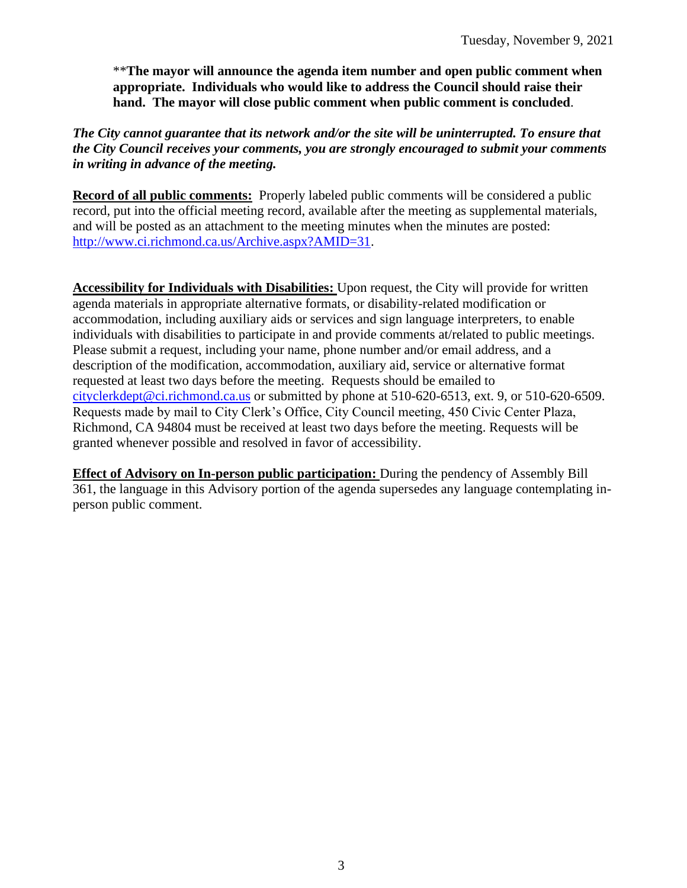\*\***The mayor will announce the agenda item number and open public comment when appropriate. Individuals who would like to address the Council should raise their hand. The mayor will close public comment when public comment is concluded**.

### *The City cannot guarantee that its network and/or the site will be uninterrupted. To ensure that the City Council receives your comments, you are strongly encouraged to submit your comments in writing in advance of the meeting.*

**Record of all public comments:** Properly labeled public comments will be considered a public record, put into the official meeting record, available after the meeting as supplemental materials, and will be posted as an attachment to the meeting minutes when the minutes are posted: [http://www.ci.richmond.ca.us/Archive.aspx?AMID=31.](http://www.ci.richmond.ca.us/Archive.aspx?AMID=31)

**Accessibility for Individuals with Disabilities:** Upon request, the City will provide for written agenda materials in appropriate alternative formats, or disability-related modification or accommodation, including auxiliary aids or services and sign language interpreters, to enable individuals with disabilities to participate in and provide comments at/related to public meetings. Please submit a request, including your name, phone number and/or email address, and a description of the modification, accommodation, auxiliary aid, service or alternative format requested at least two days before the meeting. Requests should be emailed to [cityclerkdept@ci.richmond.ca.us](mailto:cityclerkdept@ci.richmond.ca.us) or submitted by phone at 510-620-6513, ext. 9, or 510-620-6509. Requests made by mail to City Clerk's Office, City Council meeting, 450 Civic Center Plaza, Richmond, CA 94804 must be received at least two days before the meeting. Requests will be granted whenever possible and resolved in favor of accessibility.

**Effect of Advisory on In-person public participation:** During the pendency of Assembly Bill 361, the language in this Advisory portion of the agenda supersedes any language contemplating inperson public comment.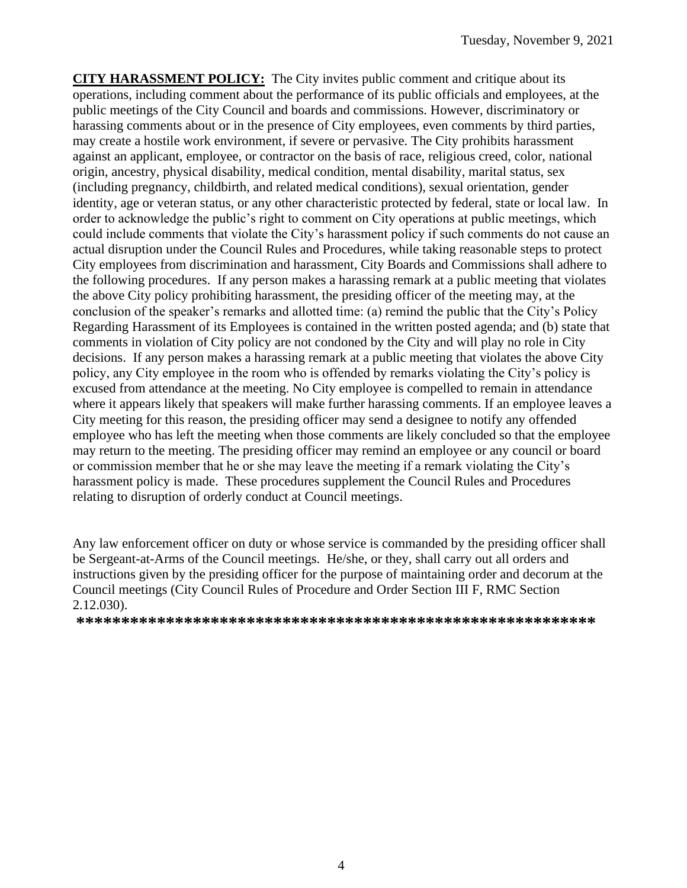**CITY HARASSMENT POLICY:** The City invites public comment and critique about its operations, including comment about the performance of its public officials and employees, at the public meetings of the City Council and boards and commissions. However, discriminatory or harassing comments about or in the presence of City employees, even comments by third parties, may create a hostile work environment, if severe or pervasive. The City prohibits harassment against an applicant, employee, or contractor on the basis of race, religious creed, color, national origin, ancestry, physical disability, medical condition, mental disability, marital status, sex (including pregnancy, childbirth, and related medical conditions), sexual orientation, gender identity, age or veteran status, or any other characteristic protected by federal, state or local law. In order to acknowledge the public's right to comment on City operations at public meetings, which could include comments that violate the City's harassment policy if such comments do not cause an actual disruption under the Council Rules and Procedures, while taking reasonable steps to protect City employees from discrimination and harassment, City Boards and Commissions shall adhere to the following procedures. If any person makes a harassing remark at a public meeting that violates the above City policy prohibiting harassment, the presiding officer of the meeting may, at the conclusion of the speaker's remarks and allotted time: (a) remind the public that the City's Policy Regarding Harassment of its Employees is contained in the written posted agenda; and (b) state that comments in violation of City policy are not condoned by the City and will play no role in City decisions. If any person makes a harassing remark at a public meeting that violates the above City policy, any City employee in the room who is offended by remarks violating the City's policy is excused from attendance at the meeting. No City employee is compelled to remain in attendance where it appears likely that speakers will make further harassing comments. If an employee leaves a City meeting for this reason, the presiding officer may send a designee to notify any offended employee who has left the meeting when those comments are likely concluded so that the employee may return to the meeting. The presiding officer may remind an employee or any council or board or commission member that he or she may leave the meeting if a remark violating the City's harassment policy is made. These procedures supplement the Council Rules and Procedures relating to disruption of orderly conduct at Council meetings.

Any law enforcement officer on duty or whose service is commanded by the presiding officer shall be Sergeant-at-Arms of the Council meetings. He/she, or they, shall carry out all orders and instructions given by the presiding officer for the purpose of maintaining order and decorum at the Council meetings (City Council Rules of Procedure and Order Section III F, RMC Section 2.12.030).

**\*\*\*\*\*\*\*\*\*\*\*\*\*\*\*\*\*\*\*\*\*\*\*\*\*\*\*\*\*\*\*\*\*\*\*\*\*\*\*\*\*\*\*\*\*\*\*\*\*\*\*\*\*\*\*\*\*\***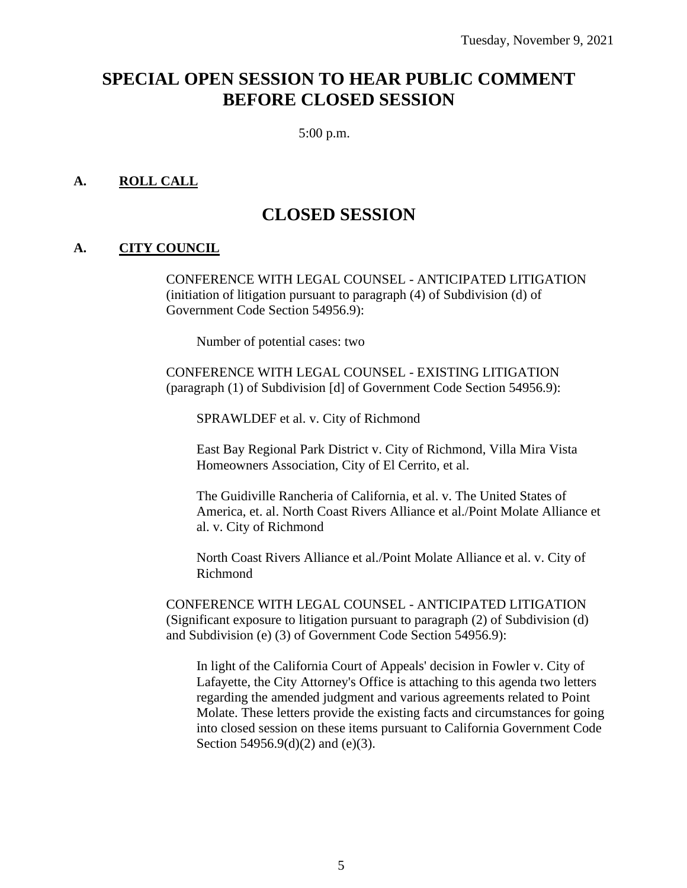# **SPECIAL OPEN SESSION TO HEAR PUBLIC COMMENT BEFORE CLOSED SESSION**

5:00 p.m.

#### **A. ROLL CALL**

## **CLOSED SESSION**

#### **A. CITY COUNCIL**

CONFERENCE WITH LEGAL COUNSEL - ANTICIPATED LITIGATION (initiation of litigation pursuant to paragraph (4) of Subdivision (d) of Government Code Section 54956.9):

Number of potential cases: two

CONFERENCE WITH LEGAL COUNSEL - EXISTING LITIGATION (paragraph (1) of Subdivision [d] of Government Code Section 54956.9):

SPRAWLDEF et al. v. City of Richmond

East Bay Regional Park District v. City of Richmond, Villa Mira Vista Homeowners Association, City of El Cerrito, et al.

The Guidiville Rancheria of California, et al. v. The United States of America, et. al. North Coast Rivers Alliance et al./Point Molate Alliance et al. v. City of Richmond

North Coast Rivers Alliance et al./Point Molate Alliance et al. v. City of Richmond

CONFERENCE WITH LEGAL COUNSEL - ANTICIPATED LITIGATION (Significant exposure to litigation pursuant to paragraph (2) of Subdivision (d) and Subdivision (e) (3) of Government Code Section 54956.9):

In light of the California Court of Appeals' decision in Fowler v. City of Lafayette, the City Attorney's Office is attaching to this agenda two letters regarding the amended judgment and various agreements related to Point Molate. These letters provide the existing facts and circumstances for going into closed session on these items pursuant to California Government Code Section 54956.9(d)(2) and (e)(3).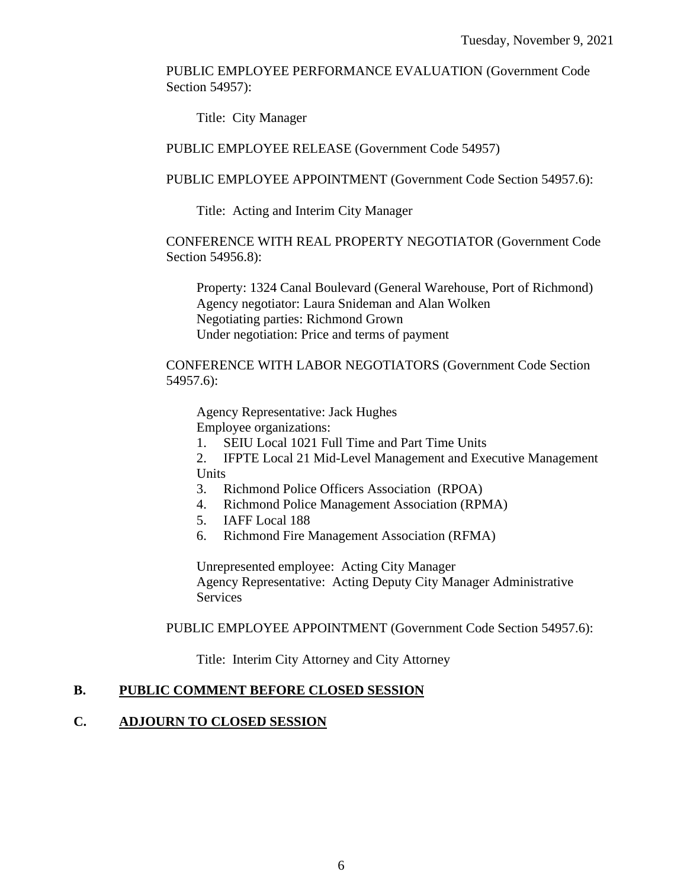PUBLIC EMPLOYEE PERFORMANCE EVALUATION (Government Code Section 54957):

Title: City Manager

PUBLIC EMPLOYEE RELEASE (Government Code 54957)

PUBLIC EMPLOYEE APPOINTMENT (Government Code Section 54957.6):

Title: Acting and Interim City Manager

CONFERENCE WITH REAL PROPERTY NEGOTIATOR (Government Code Section 54956.8):

Property: 1324 Canal Boulevard (General Warehouse, Port of Richmond) Agency negotiator: Laura Snideman and Alan Wolken Negotiating parties: Richmond Grown Under negotiation: Price and terms of payment

CONFERENCE WITH LABOR NEGOTIATORS (Government Code Section 54957.6):

Agency Representative: Jack Hughes Employee organizations:

- 1. SEIU Local 1021 Full Time and Part Time Units
- 2. IFPTE Local 21 Mid-Level Management and Executive Management Units
- 3. Richmond Police Officers Association (RPOA)
- 4. Richmond Police Management Association (RPMA)
- 5. IAFF Local 188
- 6. Richmond Fire Management Association (RFMA)

Unrepresented employee: Acting City Manager Agency Representative: Acting Deputy City Manager Administrative Services

PUBLIC EMPLOYEE APPOINTMENT (Government Code Section 54957.6):

Title: Interim City Attorney and City Attorney

#### **B. PUBLIC COMMENT BEFORE CLOSED SESSION**

#### **C. ADJOURN TO CLOSED SESSION**